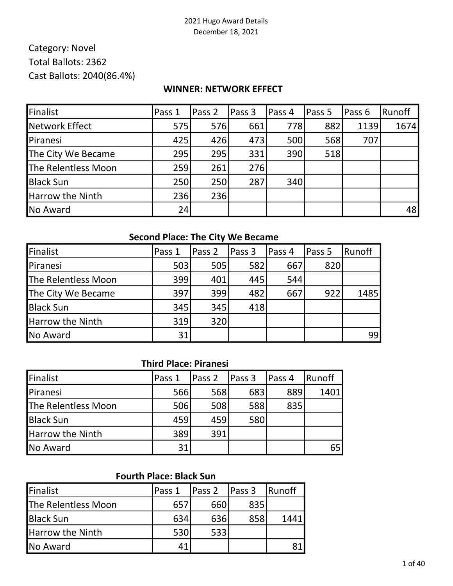# Category: Novel Total Ballots: 2362 Cast Ballots: 2040(86.4%)

#### WINNER: NETWORK EFFECT

| Finalist            | Pass 1 | Pass 2 | Pass 3 | Pass 4 | Pass 5 | Pass 6 | Runoff |
|---------------------|--------|--------|--------|--------|--------|--------|--------|
| Network Effect      | 575    | 576    | 661    | 778    | 882    | 1139   | 1674   |
| Piranesi            | 425    | 426    | 473    | 500    | 568    | 707    |        |
| The City We Became  | 295    | 295    | 331    | 390    | 518    |        |        |
| The Relentless Moon | 259    | 261    | 276    |        |        |        |        |
| <b>Black Sun</b>    | 250    | 250    | 287    | 340    |        |        |        |
| Harrow the Ninth    | 236    | 236    |        |        |        |        |        |
| No Award            | 24     |        |        |        |        |        | 48     |

### Second Place: The City We Became

| Finalist                | Pass 1 | Pass 2 | Pass 3 | Pass 4 | Pass 5 | Runoff |
|-------------------------|--------|--------|--------|--------|--------|--------|
| Piranesi                | 503    | 505    | 582    | 667    | 820    |        |
| The Relentless Moon     | 399    | 401    | 445    | 544    |        |        |
| The City We Became      | 397    | 399    | 482    | 667    | 922    | 1485   |
| <b>Black Sun</b>        | 345    | 345    | 418    |        |        |        |
| <b>Harrow the Ninth</b> | 319    | 320    |        |        |        |        |
| <b>No Award</b>         | 31     |        |        |        |        | 99     |

#### Third Place: Piranesi

| Finalist                | Pass 1 | Pass 2 | Pass 3 | Pass 4 | Runoff |
|-------------------------|--------|--------|--------|--------|--------|
| Piranesi                | 566    | 568    | 683    | 889    | 1401   |
| The Relentless Moon     | 506    | 508    | 588    | 835    |        |
| <b>Black Sun</b>        | 459    | 459    | 580    |        |        |
| <b>Harrow the Ninth</b> | 389    | 391    |        |        |        |
| <b>No Award</b>         | 31     |        |        |        | 65     |

## Fourth Place: Black Sun

| <b>Finalist</b>         | IPass 1 | Pass 2 | Pass 3 | 'Runoff |
|-------------------------|---------|--------|--------|---------|
| The Relentless Moon     | 657     | 660    | 835    |         |
| <b>Black Sun</b>        | 634     | 636    | 858    | 1441    |
| <b>Harrow the Ninth</b> | 530     | 533    |        |         |
| <b>No Award</b>         | 41      |        |        |         |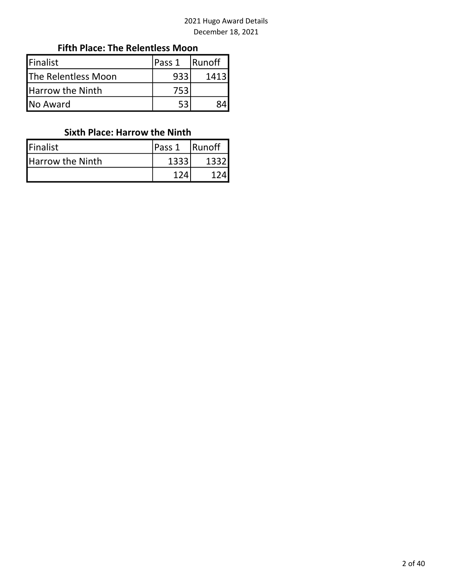## Fifth Place: The Relentless Moon

| <b>IFinalist</b>           | lPass 1 | <b>Runoff</b> |
|----------------------------|---------|---------------|
| <b>The Relentless Moon</b> | 933     | 1413          |
| <b>Harrow the Ninth</b>    | 753     |               |
| No Award                   |         |               |

### Sixth Place: Harrow the Ninth

| <b>Finalist</b>         | lPass 1 | <b>Runoff</b> |
|-------------------------|---------|---------------|
| <b>Harrow the Ninth</b> | 1333    | 1332          |
|                         |         |               |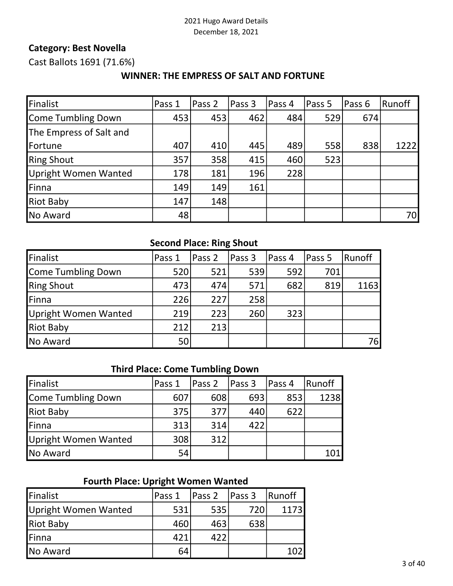#### Category: Best Novella

Cast Ballots 1691 (71.6%)

#### WINNER: THE EMPRESS OF SALT AND FORTUNE

| Finalist                    | Pass 1 | Pass 2 | Pass 3 | Pass 4 | Pass 5 | Pass 6 | Runoff |
|-----------------------------|--------|--------|--------|--------|--------|--------|--------|
| Come Tumbling Down          | 453    | 453    | 462    | 484    | 529    | 674    |        |
| The Empress of Salt and     |        |        |        |        |        |        |        |
| Fortune                     | 407    | 410    | 445    | 489    | 558    | 838    | 1222   |
| <b>Ring Shout</b>           | 357    | 358    | 415    | 460    | 523    |        |        |
| <b>Upright Women Wanted</b> | 178    | 181    | 196    | 228    |        |        |        |
| Finna                       | 149    | 149    | 161    |        |        |        |        |
| <b>Riot Baby</b>            | 147    | 148    |        |        |        |        |        |
| No Award                    | 48     |        |        |        |        |        | 70I    |

#### Second Place: Ring Shout

| Finalist             | Pass 1 | Pass 2 | Pass 3 | lPass 4 | Pass 5 | Runoff |
|----------------------|--------|--------|--------|---------|--------|--------|
| Come Tumbling Down   | 520    | 521    | 539    | 592     | 701    |        |
| <b>Ring Shout</b>    | 473    | 474    | 571    | 682     | 819    | 1163   |
| Finna                | 226    | 227    | 258    |         |        |        |
| Upright Women Wanted | 219    | 223    | 260    | 323     |        |        |
| <b>Riot Baby</b>     | 212    | 213    |        |         |        |        |
| No Award             | 50     |        |        |         |        | 76l    |

#### Third Place: Come Tumbling Down

| Finalist             | Pass 1 | Pass 2 | Pass 3 | Pass 4 | Runoff |
|----------------------|--------|--------|--------|--------|--------|
| Come Tumbling Down   | 607    | 608    | 693    | 853    | 1238   |
| <b>Riot Baby</b>     | 375    | 377    | 440    | 622    |        |
| <b>IFinna</b>        | 313    | 314    | 422    |        |        |
| Upright Women Wanted | 308    | 312    |        |        |        |
| <b>No Award</b>      | 54     |        |        |        | 101    |

#### Fourth Place: Upright Women Wanted

| Finalist             | Pass 1 | Pass 2 | Pass <sub>3</sub> | Runoff |
|----------------------|--------|--------|-------------------|--------|
| Upright Women Wanted | 531    | 535    | 720               | 1173l  |
| <b>Riot Baby</b>     | 460    | 463    | 638               |        |
| <b>IFinna</b>        | 421    | 422    |                   |        |
| <b>No Award</b>      | 64     |        |                   |        |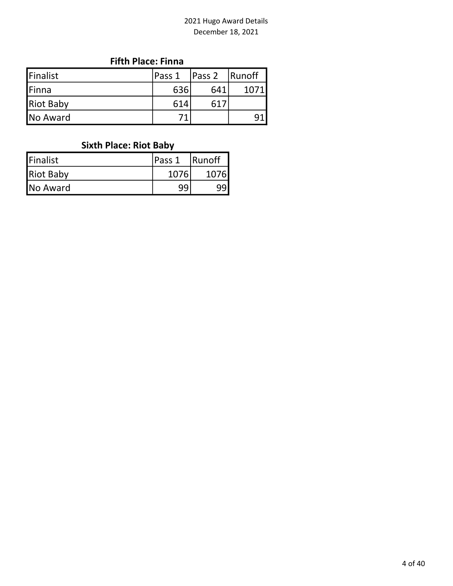### Fifth Place: Finna

| Finalist         | Pass 1 | Pass 2          | Runoff |
|------------------|--------|-----------------|--------|
| <b>Finna</b>     | 636    | 641             | 1071   |
| <b>Riot Baby</b> | 614    | 61 <sup>2</sup> |        |
| <b>No Award</b>  |        |                 |        |

# Sixth Place: Riot Baby

| Finalist         | <b>IPass 1</b> | <b>Runoff</b> |
|------------------|----------------|---------------|
| <b>Riot Baby</b> | 1076           | 1076 <b>I</b> |
| No Award         | 99             |               |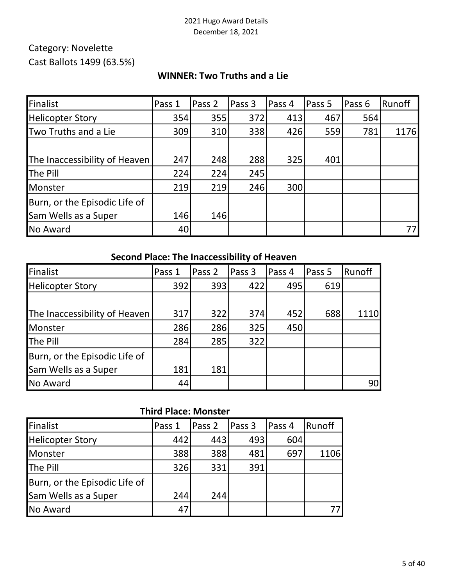# Category: Novelette Cast Ballots 1499 (63.5%)

### WINNER: Two Truths and a Lie

| Finalist                      | Pass 1 | Pass 2 | Pass 3 | Pass 4 | Pass 5 | Pass 6 | Runoff |
|-------------------------------|--------|--------|--------|--------|--------|--------|--------|
| <b>Helicopter Story</b>       | 354    | 355    | 372    | 413    | 467    | 564    |        |
| <b>Two Truths and a Lie</b>   | 309    | 310    | 338    | 426    | 559    | 781    | 1176   |
|                               |        |        |        |        |        |        |        |
| The Inaccessibility of Heaven | 247    | 248    | 288    | 325    | 401    |        |        |
| <b>The Pill</b>               | 224    | 224    | 245    |        |        |        |        |
| Monster                       | 219    | 219    | 246    | 300    |        |        |        |
| Burn, or the Episodic Life of |        |        |        |        |        |        |        |
| Sam Wells as a Super          | 146    | 146    |        |        |        |        |        |
| No Award                      | 40     |        |        |        |        |        |        |

### Second Place: The Inaccessibility of Heaven

| Finalist                      | Pass 1 | Pass 2 | Pass 3 | Pass 4 | Pass 5 | Runoff |
|-------------------------------|--------|--------|--------|--------|--------|--------|
| <b>Helicopter Story</b>       | 392    | 393    | 422    | 495    | 619    |        |
|                               |        |        |        |        |        |        |
| The Inaccessibility of Heaven | 317    | 322    | 374    | 452    | 688    | 1110   |
| <b>Monster</b>                | 286    | 286    | 325    | 450    |        |        |
| <b>The Pill</b>               | 284    | 285    | 322    |        |        |        |
| Burn, or the Episodic Life of |        |        |        |        |        |        |
| Sam Wells as a Super          | 181    | 181    |        |        |        |        |
| <b>No Award</b>               | 44     |        |        |        |        | 90     |

#### Third Place: Monster

| Finalist                      | Pass 1 | Pass 2 | Pass 3 | Pass 4 | Runoff |
|-------------------------------|--------|--------|--------|--------|--------|
| <b>Helicopter Story</b>       | 442    | 443    | 493    | 604    |        |
| Monster                       | 388    | 388    | 481    | 697    | 1106   |
| The Pill                      | 326    | 331    | 391    |        |        |
| Burn, or the Episodic Life of |        |        |        |        |        |
| Sam Wells as a Super          | 244    | 244    |        |        |        |
| No Award                      | 47     |        |        |        |        |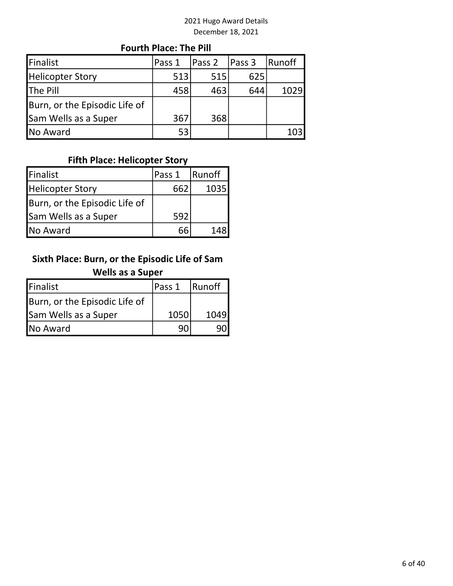#### Fourth Place: The Pill

| Finalist                      | Pass 1 | Pass 2 | Pass 3 | Runoff |
|-------------------------------|--------|--------|--------|--------|
| <b>Helicopter Story</b>       | 513    | 515    | 625    |        |
| <b>The Pill</b>               | 458    | 463    | 644    | 1029   |
| Burn, or the Episodic Life of |        |        |        |        |
| Sam Wells as a Super          | 367    | 368    |        |        |
| No Award                      | 53     |        |        | 103    |

## Fifth Place: Helicopter Story

| <b>Finalist</b>               | lPass 1 | <b>Runoff</b> |
|-------------------------------|---------|---------------|
| Helicopter Story              | 662     | 1035          |
| Burn, or the Episodic Life of |         |               |
| Sam Wells as a Super          | 592     |               |
| <b>No Award</b>               |         | 148           |

# Sixth Place: Burn, or the Episodic Life of Sam Wells as a Super

| <b>Finalist</b>               | <b>IPass 1</b> | <b>Runoff</b> |
|-------------------------------|----------------|---------------|
| Burn, or the Episodic Life of |                |               |
| Sam Wells as a Super          | 1050           | 1049          |
| No Award                      | ۹N             |               |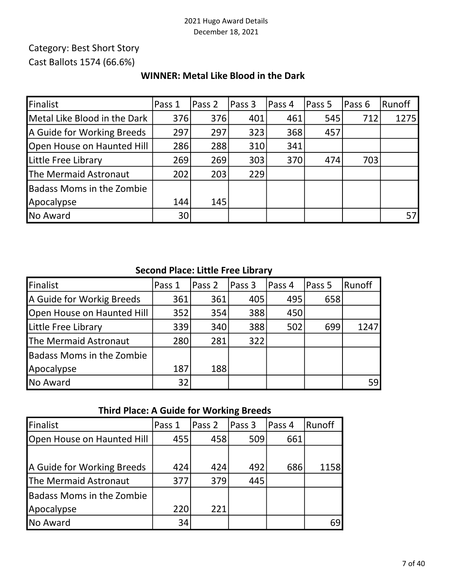## Category: Best Short Story Cast Ballots 1574 (66.6%)

| Finalist                         | Pass 1 | Pass 2 | Pass 3 | Pass 4 | Pass 5 | Pass 6 | Runoff |
|----------------------------------|--------|--------|--------|--------|--------|--------|--------|
| Metal Like Blood in the Dark     | 376    | 376    | 401    | 461    | 545    | 712    | 1275   |
| A Guide for Working Breeds       | 297    | 297    | 323    | 368    | 457    |        |        |
| Open House on Haunted Hill       | 286    | 288    | 310    | 341    |        |        |        |
| Little Free Library              | 269    | 269    | 303    | 370    | 474    | 703    |        |
| The Mermaid Astronaut            | 202    | 203    | 229    |        |        |        |        |
| <b>Badass Moms in the Zombie</b> |        |        |        |        |        |        |        |
| Apocalypse                       | 144    | 145    |        |        |        |        |        |
| No Award                         | 30     |        |        |        |        |        |        |

## WINNER: Metal Like Blood in the Dark

# Second Place: Little Free Library

| Finalist                         | Pass 1 | Pass 2 | Pass 3 | Pass 4 | Pass 5 | Runoff |
|----------------------------------|--------|--------|--------|--------|--------|--------|
| A Guide for Workig Breeds        | 361    | 361    | 405    | 495    | 658    |        |
| Open House on Haunted Hill       | 352    | 354    | 388    | 450    |        |        |
| Little Free Library              | 339    | 340    | 388    | 502    | 699    | 1247   |
| The Mermaid Astronaut            | 280    | 281    | 322    |        |        |        |
| <b>Badass Moms in the Zombie</b> |        |        |        |        |        |        |
| Apocalypse                       | 187    | 188    |        |        |        |        |
| No Award                         | 32     |        |        |        |        | 59     |

## Third Place: A Guide for Working Breeds

| <b>Finalist</b>                  | Pass 1 | Pass 2 | Pass 3 | Pass 4 | Runoff |
|----------------------------------|--------|--------|--------|--------|--------|
| Open House on Haunted Hill       | 455    | 458    | 509    | 661    |        |
|                                  |        |        |        |        |        |
| A Guide for Working Breeds       | 424    | 424    | 492    | 686    | 1158   |
| The Mermaid Astronaut            | 377    | 379    | 445    |        |        |
| <b>Badass Moms in the Zombie</b> |        |        |        |        |        |
| Apocalypse                       | 220    | 221    |        |        |        |
| <b>No Award</b>                  | 34     |        |        |        | 69     |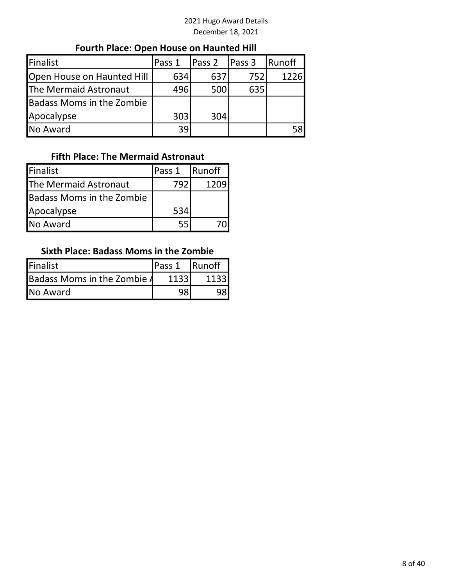# Fourth Place: Open House on Haunted Hill

| Finalist                         | Pass 1 | Pass 2 | Pass 3 | Runoff |
|----------------------------------|--------|--------|--------|--------|
| Open House on Haunted Hill       | 634    | 637    | 752    | 1226   |
| The Mermaid Astronaut            | 496    | 500    | 635    |        |
| <b>Badass Moms in the Zombie</b> |        |        |        |        |
| Apocalypse                       | 303    | 304    |        |        |
| No Award                         | 39     |        |        | 58l    |

## Fifth Place: The Mermaid Astronaut

| Finalist                  | Pass 1 | <b>Runoff</b> |
|---------------------------|--------|---------------|
| The Mermaid Astronaut     | 792    | 1209          |
| Badass Moms in the Zombie |        |               |
| Apocalypse                | 534    |               |
| <b>No Award</b>           | 55     |               |

#### Sixth Place: Badass Moms in the Zombie

| Finalist                    | lPass 1 | <b>Runoff</b> |  |
|-----------------------------|---------|---------------|--|
| Badass Moms in the Zombie A | 1133    | 1133          |  |
| No Award                    | ۵Q      |               |  |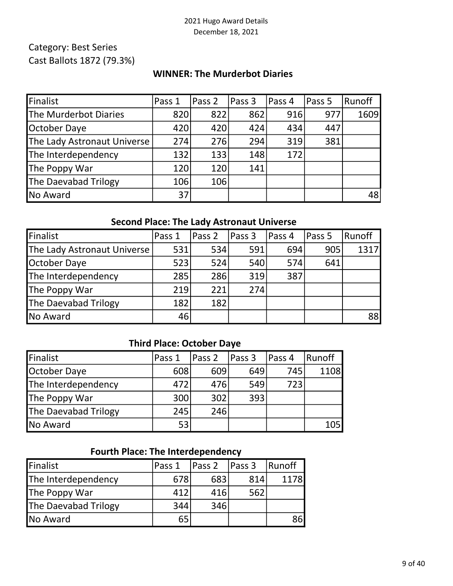# Category: Best Series Cast Ballots 1872 (79.3%)

#### WINNER: The Murderbot Diaries

| Finalist                    | Pass 1 | Pass 2 | Pass 3 | Pass 4 | Pass 5 | Runoff |
|-----------------------------|--------|--------|--------|--------|--------|--------|
| The Murderbot Diaries       | 820    | 822    | 862    | 916    | 977    | 1609   |
| October Daye                | 420    | 420    | 424    | 434    | 447    |        |
| The Lady Astronaut Universe | 274    | 276    | 294    | 319    | 381    |        |
| The Interdependency         | 132    | 133    | 148    | 172    |        |        |
| The Poppy War               | 120    | 120    | 141    |        |        |        |
| The Daevabad Trilogy        | 106    | 106    |        |        |        |        |
| No Award                    | 37     |        |        |        |        | 48     |

### Second Place: The Lady Astronaut Universe

| Finalist                    | Pass 1 | Pass <sub>2</sub> | Pass 3 | lPass 4 | Pass 5 | Runoff |
|-----------------------------|--------|-------------------|--------|---------|--------|--------|
| The Lady Astronaut Universe | 531    | 534               | 591    | 694     | 905    | 1317   |
| October Daye                | 523    | 524               | 540    | 574     | 641    |        |
| The Interdependency         | 285    | 286               | 319    | 387     |        |        |
| The Poppy War               | 219    | 221               | 274    |         |        |        |
| The Daevabad Trilogy        | 182    | 182               |        |         |        |        |
| No Award                    | 46     |                   |        |         |        | 88     |

### Third Place: October Daye

| Finalist                    | Pass 1 | Pass 2 | Pass <sub>3</sub> | Pass 4 | Runoff     |
|-----------------------------|--------|--------|-------------------|--------|------------|
| October Daye                | 608    | 609    | 649               | 745    | 1108       |
| The Interdependency         | 472    | 476    | 549               | 723    |            |
| The Poppy War               | 300    | 302    | 393               |        |            |
| <b>The Daevabad Trilogy</b> | 245    | 246    |                   |        |            |
| No Award                    | 53     |        |                   |        | <b>105</b> |

### Fourth Place: The Interdependency

| Finalist                    | Pass 1 | Pass 2 | Pass 3 | Runoff |
|-----------------------------|--------|--------|--------|--------|
| The Interdependency         | 678    | 683    | 814    | 1178   |
| <b>The Poppy War</b>        | 412    | 416    | 562    |        |
| <b>The Daevabad Trilogy</b> | 344    | 346    |        |        |
| No Award                    | 65     |        |        | 86l    |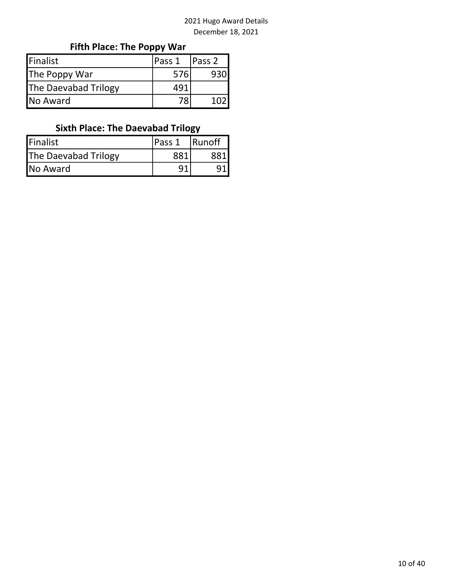# Fifth Place: The Poppy War

| Finalist                    | Pass 1 | Pass <sub>2</sub> |
|-----------------------------|--------|-------------------|
| The Poppy War               | 576    |                   |
| <b>The Daevabad Trilogy</b> | 491    |                   |
| No Award                    |        |                   |

# Sixth Place: The Daevabad Trilogy

| <b>Finalist</b>             | lPass 1 | <b>Runoff</b> |
|-----------------------------|---------|---------------|
| <b>The Daevabad Trilogy</b> | 881     |               |
| No Award                    |         |               |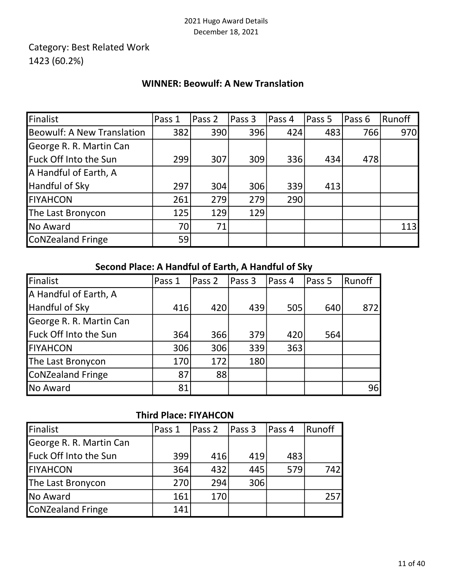# Category: Best Related Work 1423 (60.2%)

## WINNER: Beowulf: A New Translation

| Finalist                   | Pass 1 | Pass 2 | Pass 3 | Pass 4 | Pass 5 | Pass 6 | Runoff |
|----------------------------|--------|--------|--------|--------|--------|--------|--------|
| Beowulf: A New Translation | 382    | 390    | 396    | 424    | 483    | 766    | 970    |
| George R. R. Martin Can    |        |        |        |        |        |        |        |
| Fuck Off Into the Sun      | 299    | 307    | 309    | 336    | 434    | 478    |        |
| A Handful of Earth, A      |        |        |        |        |        |        |        |
| Handful of Sky             | 297    | 304    | 306    | 339    | 413    |        |        |
| <b>FIYAHCON</b>            | 261    | 279    | 279    | 290    |        |        |        |
| The Last Bronycon          | 125    | 129    | 129    |        |        |        |        |
| No Award                   | 70     | 71     |        |        |        |        | 113    |
| CoNZealand Fringe          | 59     |        |        |        |        |        |        |

### Second Place: A Handful of Earth, A Handful of Sky

| Finalist                | Pass 1 | Pass 2 | Pass 3 | Pass 4 | Pass 5 | Runoff |
|-------------------------|--------|--------|--------|--------|--------|--------|
| A Handful of Earth, A   |        |        |        |        |        |        |
| Handful of Sky          | 416    | 420    | 439    | 505    | 640    | 8721   |
| George R. R. Martin Can |        |        |        |        |        |        |
| Fuck Off Into the Sun   | 364    | 366    | 379    | 420    | 564    |        |
| <b>FIYAHCON</b>         | 306    | 306    | 339    | 363    |        |        |
| The Last Bronycon       | 170    | 172    | 180    |        |        |        |
| CoNZealand Fringe       | 87     | 88     |        |        |        |        |
| No Award                | 81     |        |        |        |        | 96     |

## Third Place: FIYAHCON

| Finalist                | Pass 1 | Pass 2 | <b>Pass 3</b> | Pass 4 | Runoff |
|-------------------------|--------|--------|---------------|--------|--------|
| George R. R. Martin Can |        |        |               |        |        |
| Fuck Off Into the Sun   | 399    | 416    | 419           | 483    |        |
| <b>FIYAHCON</b>         | 364    | 432    | 445           | 579    | 742    |
| The Last Bronycon       | 270    | 294    | 306           |        |        |
| No Award                | 161    | 170    |               |        | 257    |
| CoNZealand Fringe       | 141    |        |               |        |        |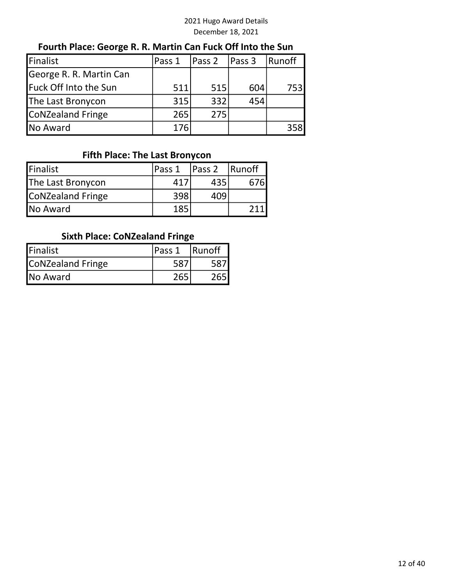### Fourth Place: George R. R. Martin Can Fuck Off Into the Sun

| Finalist                     | Pass 1 | Pass 2 | Pass 3 | Runoff |
|------------------------------|--------|--------|--------|--------|
| George R. R. Martin Can      |        |        |        |        |
| <b>Fuck Off Into the Sun</b> | 511    | 515    | 604    | 753    |
| The Last Bronycon            | 315    | 332    | 454    |        |
| CoNZealand Fringe            | 265    | 275    |        |        |
| No Award                     | 176    |        |        | 358    |

#### Fifth Place: The Last Bronycon

| <b>IFinalist</b>  | lPass 1 | <b>Pass 2</b> | <b>IRunoff</b> |
|-------------------|---------|---------------|----------------|
| The Last Bronycon | 41 I    | 435           | 676            |
| CoNZealand Fringe | 398     | 409           |                |
| <b>No Award</b>   | 185     |               |                |

### Sixth Place: CoNZealand Fringe

| Finalist          | <b>IPass 1</b> | <b>Runoff</b> |
|-------------------|----------------|---------------|
| CoNZealand Fringe |                |               |
| <b>No Award</b>   | 265            |               |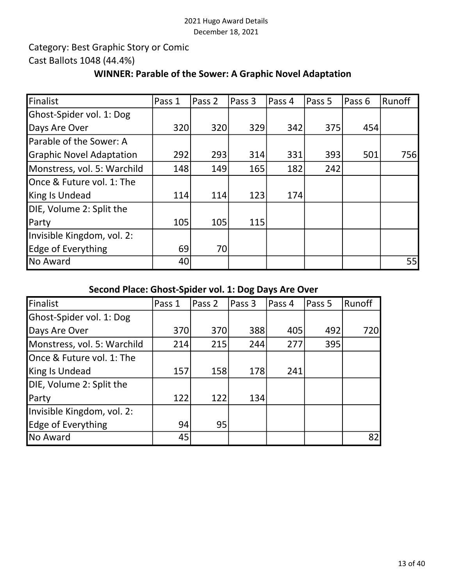## Category: Best Graphic Story or Comic Cast Ballots 1048 (44.4%)

### WINNER: Parable of the Sower: A Graphic Novel Adaptation

| Finalist                        | Pass 1 | Pass <sub>2</sub> | Pass 3 | Pass 4 | Pass 5 | Pass 6 | Runoff       |
|---------------------------------|--------|-------------------|--------|--------|--------|--------|--------------|
| Ghost-Spider vol. 1: Dog        |        |                   |        |        |        |        |              |
| Days Are Over                   | 320    | 320               | 329    | 342    | 375    | 454    |              |
| Parable of the Sower: A         |        |                   |        |        |        |        |              |
| <b>Graphic Novel Adaptation</b> | 292    | 293               | 314    | 331    | 393    | 501    | 756 <b>1</b> |
| Monstress, vol. 5: Warchild     | 148    | 149               | 165    | 182    | 242    |        |              |
| Once & Future vol. 1: The       |        |                   |        |        |        |        |              |
| King Is Undead                  | 114    | 114               | 123    | 174    |        |        |              |
| DIE, Volume 2: Split the        |        |                   |        |        |        |        |              |
| Party                           | 105    | 105               | 115    |        |        |        |              |
| Invisible Kingdom, vol. 2:      |        |                   |        |        |        |        |              |
| Edge of Everything              | 69     | 70                |        |        |        |        |              |
| No Award                        | 40     |                   |        |        |        |        | 55           |

### Second Place: Ghost-Spider vol. 1: Dog Days Are Over

| Finalist                    | Pass 1 | Pass 2 | Pass 3 | Pass 4 | Pass 5 | Runoff |
|-----------------------------|--------|--------|--------|--------|--------|--------|
| Ghost-Spider vol. 1: Dog    |        |        |        |        |        |        |
| Days Are Over               | 370    | 370    | 388    | 405    | 492    | 720    |
| Monstress, vol. 5: Warchild | 214    | 215    | 244    | 277    | 395    |        |
| Once & Future vol. 1: The   |        |        |        |        |        |        |
| King Is Undead              | 157    | 158    | 178    | 241    |        |        |
| DIE, Volume 2: Split the    |        |        |        |        |        |        |
| Party                       | 122    | 122    | 134    |        |        |        |
| Invisible Kingdom, vol. 2:  |        |        |        |        |        |        |
| Edge of Everything          | 94     | 95     |        |        |        |        |
| No Award                    | 45     |        |        |        |        | 82     |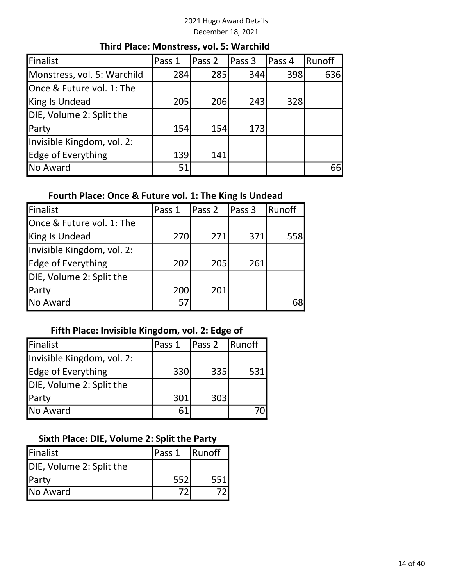| Finalist                    | Pass 1 | Pass 2 | Pass 3 | Pass 4 | Runoff |  |  |  |
|-----------------------------|--------|--------|--------|--------|--------|--|--|--|
| Monstress, vol. 5: Warchild | 284    | 285    | 344    | 398    | 636    |  |  |  |
| Once & Future vol. 1: The   |        |        |        |        |        |  |  |  |
| King Is Undead              | 205    | 206    | 243    | 328    |        |  |  |  |
| DIE, Volume 2: Split the    |        |        |        |        |        |  |  |  |
| Party                       | 154    | 154    | 173    |        |        |  |  |  |
| Invisible Kingdom, vol. 2:  |        |        |        |        |        |  |  |  |
| Edge of Everything          | 139    | 141    |        |        |        |  |  |  |
| No Award                    | 51     |        |        |        | 66     |  |  |  |

#### Third Place: Monstress, vol. 5: Warchild

#### Fourth Place: Once & Future vol. 1: The King Is Undead

| Finalist                   | Pass 1 | Pass 2 | Pass 3 | Runoff |
|----------------------------|--------|--------|--------|--------|
| Once & Future vol. 1: The  |        |        |        |        |
| King Is Undead             | 270    | 271    | 371    | 558    |
| Invisible Kingdom, vol. 2: |        |        |        |        |
| Edge of Everything         | 202    | 205    | 261    |        |
| DIE, Volume 2: Split the   |        |        |        |        |
| Party                      | 200    | 201    |        |        |
| No Award                   | 57     |        |        | 68     |

### Fifth Place: Invisible Kingdom, vol. 2: Edge of

| Finalist                   | Pass 1 | Pass 2 | <b>Runoff</b> |
|----------------------------|--------|--------|---------------|
| Invisible Kingdom, vol. 2: |        |        |               |
| <b>Edge of Everything</b>  | 330    | 335    | 531           |
| DIE, Volume 2: Split the   |        |        |               |
| Party                      | 301    | 303    |               |
| No Award                   | 61     |        |               |

#### Sixth Place: DIE, Volume 2: Split the Party

| Finalist                 | lPass 1 | Runoff |
|--------------------------|---------|--------|
| DIE, Volume 2: Split the |         |        |
| <b>Party</b>             | 552     | 551    |
| No Award                 |         |        |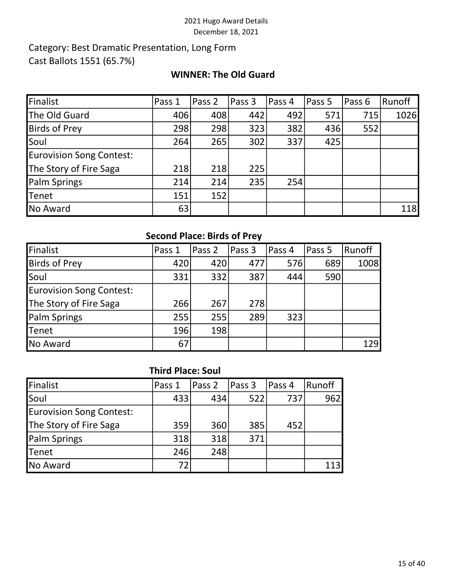## Category: Best Dramatic Presentation, Long Form Cast Ballots 1551 (65.7%)

#### WINNER: The Old Guard

| Finalist                        | Pass 1 | Pass 2 | Pass 3 | Pass 4 | Pass 5 | Pass 6 | Runoff |
|---------------------------------|--------|--------|--------|--------|--------|--------|--------|
| The Old Guard                   | 406    | 408    | 442    | 492    | 571    | 715    | 1026   |
| <b>Birds of Prey</b>            | 298    | 298    | 323    | 382    | 436    | 552    |        |
| Soul                            | 264    | 265    | 302    | 337    | 425    |        |        |
| <b>Eurovision Song Contest:</b> |        |        |        |        |        |        |        |
| The Story of Fire Saga          | 218    | 218    | 225    |        |        |        |        |
| Palm Springs                    | 214    | 214    | 235    | 254    |        |        |        |
| Tenet                           | 151    | 152    |        |        |        |        |        |
| No Award                        | 63     |        |        |        |        |        | 118    |

### Second Place: Birds of Prey

| Finalist                        | Pass 1 | Pass 2 | Pass 3 | Pass 4 | Pass 5 | Runoff |
|---------------------------------|--------|--------|--------|--------|--------|--------|
| <b>Birds of Prey</b>            | 420    | 420    | 477    | 576    | 689    | 1008   |
| Soul                            | 331    | 332    | 387    | 444    | 590    |        |
| <b>Eurovision Song Contest:</b> |        |        |        |        |        |        |
| The Story of Fire Saga          | 266    | 267    | 278    |        |        |        |
| Palm Springs                    | 255    | 255    | 289    | 323    |        |        |
| Tenet                           | 196    | 198    |        |        |        |        |
| No Award                        | 67     |        |        |        |        | 129    |

### Third Place: Soul

| Finalist                        | Pass 1 | Pass <sub>2</sub> | Pass 3 | Pass 4 | Runoff |
|---------------------------------|--------|-------------------|--------|--------|--------|
| Soul                            | 433    | 434               | 522    | 737    | 962    |
| <b>Eurovision Song Contest:</b> |        |                   |        |        |        |
| The Story of Fire Saga          | 359    | 360               | 385    | 452    |        |
| <b>Palm Springs</b>             | 318    | 318               | 371    |        |        |
| <b>Tenet</b>                    | 246    | 248               |        |        |        |
| No Award                        |        |                   |        |        | 113    |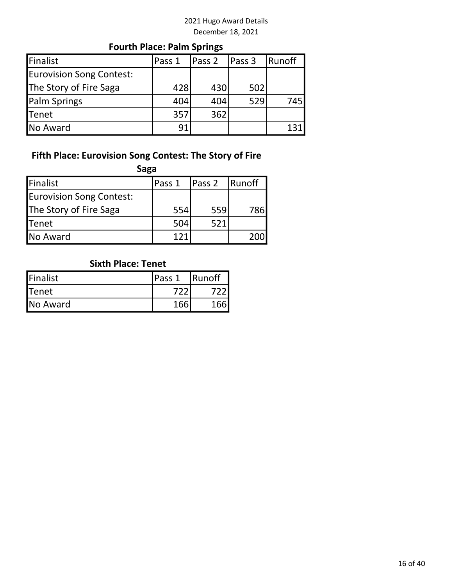# Fourth Place: Palm Springs

| Finalist                 | Pass 1 | lPass 2 | Pass 3 | Runoff |
|--------------------------|--------|---------|--------|--------|
| Eurovision Song Contest: |        |         |        |        |
| The Story of Fire Saga   | 428    | 430     | 502    |        |
| <b>Palm Springs</b>      | 404    | 404     | 529    | 745    |
| <b>Tenet</b>             | 357    | 362     |        |        |
| <b>No Award</b>          | 91     |         |        |        |

# Fifth Place: Eurovision Song Contest: The Story of Fire

| <b>Finalist</b>          | Pass 1 | <b>Pass 2</b> | Runoff |
|--------------------------|--------|---------------|--------|
| Eurovision Song Contest: |        |               |        |
| The Story of Fire Saga   | 554    | 559           | 786    |
| <b>Tenet</b>             | 504    | 521           |        |
| No Award                 |        |               |        |

# Sixth Place: Tenet

| <b>Finalist</b> | <b>IPass 1</b> | <b>Runoff</b> |
|-----------------|----------------|---------------|
| <b>I</b> Tenet  |                |               |
| <b>No Award</b> | 166            | 166           |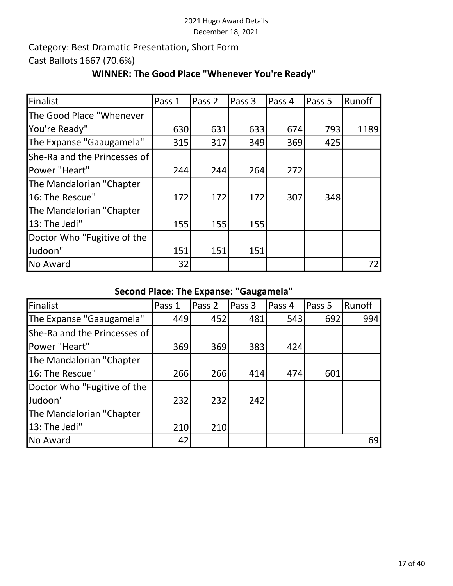# Category: Best Dramatic Presentation, Short Form Cast Ballots 1667 (70.6%)

### WINNER: The Good Place "Whenever You're Ready"

| Finalist                     | Pass 1 | Pass 2 | Pass 3 | Pass 4 | Pass 5 | Runoff |
|------------------------------|--------|--------|--------|--------|--------|--------|
| The Good Place "Whenever     |        |        |        |        |        |        |
| You're Ready"                | 630    | 631    | 633    | 674    | 793    | 1189   |
| The Expanse "Gaaugamela"     | 315    | 317    | 349    | 369    | 425    |        |
| She-Ra and the Princesses of |        |        |        |        |        |        |
| Power "Heart"                | 244    | 244    | 264    | 272    |        |        |
| The Mandalorian "Chapter     |        |        |        |        |        |        |
| 16: The Rescue"              | 172    | 172    | 172    | 307    | 348    |        |
| The Mandalorian "Chapter     |        |        |        |        |        |        |
| 13: The Jedi"                | 155    | 155    | 155    |        |        |        |
| Doctor Who "Fugitive of the  |        |        |        |        |        |        |
| Judoon"                      | 151    | 151    | 151    |        |        |        |
| No Award                     | 32     |        |        |        |        | 72     |

# Second Place: The Expanse: "Gaugamela"

| Finalist                     | Pass 1 | Pass 2 | Pass 3 | Pass 4 | Pass 5 | Runoff |
|------------------------------|--------|--------|--------|--------|--------|--------|
| The Expanse "Gaaugamela"     | 449    | 452    | 481    | 543    | 692    | 994    |
| She-Ra and the Princesses of |        |        |        |        |        |        |
| Power "Heart"                | 369    | 369    | 383    | 424    |        |        |
| The Mandalorian "Chapter     |        |        |        |        |        |        |
| 16: The Rescue"              | 266    | 266    | 414    | 474    | 601    |        |
| Doctor Who "Fugitive of the  |        |        |        |        |        |        |
| Judoon"                      | 232    | 232    | 242    |        |        |        |
| The Mandalorian "Chapter     |        |        |        |        |        |        |
| 13: The Jedi"                | 210    | 210    |        |        |        |        |
| No Award                     | 42     |        |        |        |        | 69     |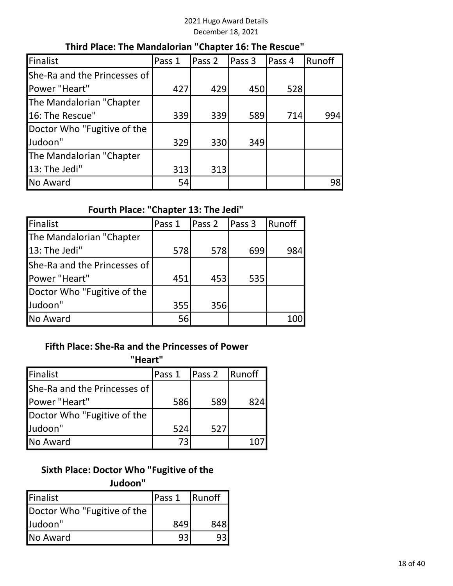#### Third Place: The Mandalorian "Chapter 16: The Rescue"

| Finalist                     | Pass 1 | Pass 2 | Pass 3 | Pass 4 | Runoff |
|------------------------------|--------|--------|--------|--------|--------|
| She-Ra and the Princesses of |        |        |        |        |        |
| Power "Heart"                | 427    | 429    | 450    | 528    |        |
| The Mandalorian "Chapter     |        |        |        |        |        |
| 16: The Rescue"              | 339    | 339    | 589    | 714    | 994    |
| Doctor Who "Fugitive of the  |        |        |        |        |        |
| Judoon"                      | 329    | 330    | 349    |        |        |
| The Mandalorian "Chapter     |        |        |        |        |        |
| 13: The Jedi"                | 313    | 313    |        |        |        |
| No Award                     | 54     |        |        |        | 98     |

# Fourth Place: "Chapter 13: The Jedi"

| Finalist                     | Pass 1 | Pass 2 | Pass 3 | Runoff |
|------------------------------|--------|--------|--------|--------|
| The Mandalorian "Chapter     |        |        |        |        |
| 13: The Jedi"                | 578    | 578    | 699    | 984    |
| She-Ra and the Princesses of |        |        |        |        |
| Power "Heart"                | 451    | 453    | 535    |        |
| Doctor Who "Fugitive of the  |        |        |        |        |
| Judoon"                      | 355    | 356    |        |        |
| No Award                     | 56     |        |        | 100    |

#### Fifth Place: She-Ra and the Princesses of Power

#### "Heart"

| Finalist                     | Pass 1 | Pass 2 | Runoff |
|------------------------------|--------|--------|--------|
| She-Ra and the Princesses of |        |        |        |
| Power "Heart"                | 586    | 589    | 824    |
| Doctor Who "Fugitive of the  |        |        |        |
| Judoon"                      | 524    | 527    |        |
| No Award                     | 73     |        |        |

### Sixth Place: Doctor Who "Fugitive of the Judoon"

| Finalist                    | lPass 1 | <b>Runoff</b> |
|-----------------------------|---------|---------------|
| Doctor Who "Fugitive of the |         |               |
| Judoon"                     | 849     | 848           |
| <b>No Award</b>             | 93      |               |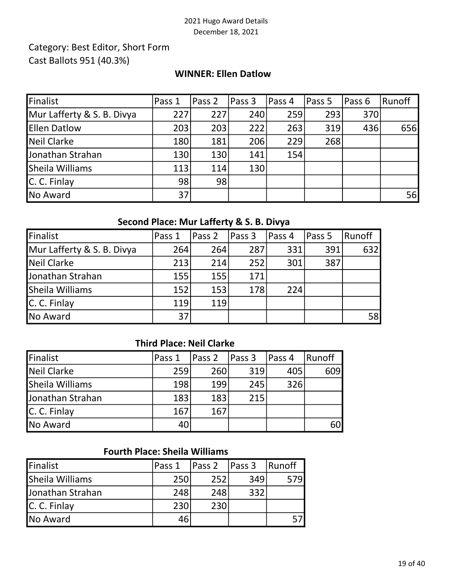## Category: Best Editor, Short Form Cast Ballots 951 (40.3%)

#### WINNER: Ellen Datlow

| Finalist                   | Pass 1 | Pass 2 | Pass 3 | Pass 4 | Pass 5 | Pass 6 | Runoff |
|----------------------------|--------|--------|--------|--------|--------|--------|--------|
| Mur Lafferty & S. B. Divya | 227    | 227    | 240    | 259    | 293    | 370    |        |
| <b>Ellen Datlow</b>        | 203    | 203    | 222    | 263    | 319    | 436    | 656    |
| Neil Clarke                | 180    | 181    | 206    | 229    | 268    |        |        |
| Jonathan Strahan           | 130    | 130    | 141    | 154    |        |        |        |
| Sheila Williams            | 113    | 114    | 130    |        |        |        |        |
| C. C. Finlay               | 98     | 98     |        |        |        |        |        |
| No Award                   | 37     |        |        |        |        |        | 56     |

### Second Place: Mur Lafferty & S. B. Divya

| Finalist                   | Pass 1 | Pass 2 | Pass 3 | Pass 4 | Pass 5 | <b>Runoff</b> |
|----------------------------|--------|--------|--------|--------|--------|---------------|
| Mur Lafferty & S. B. Divya | 264    | 264    | 287    | 331    | 391    | 632           |
| Neil Clarke                | 213    | 214    | 252    | 301    | 387    |               |
| Jonathan Strahan           | 155    | 155    | 171    |        |        |               |
| Sheila Williams            | 152    | 153    | 178    | 224    |        |               |
| C. C. Finlay               | 119    | 119    |        |        |        |               |
| No Award                   | 37     |        |        |        |        | 58            |

## Third Place: Neil Clarke

| Finalist         | lPass 1 | Pass <sub>2</sub> | Pass 3 | Pass 4 | Runoff |
|------------------|---------|-------------------|--------|--------|--------|
| Neil Clarke      | 259     | 260               | 319    | 405    | 609    |
| Sheila Williams  | 198     | 199               | 245    | 326    |        |
| Jonathan Strahan | 183     | 183               | 215    |        |        |
| C. C. Finlay     | 167     | 167               |        |        |        |
| No Award         |         |                   |        |        | 60     |

## Fourth Place: Sheila Williams

| Finalist         | Pass 1 | Pass 2 | Pass 3 | <b>Runoff</b> |
|------------------|--------|--------|--------|---------------|
| Sheila Williams  | 250    | 252    | 349    | 579           |
| Jonathan Strahan | 248    | 248    | 332    |               |
| C. C. Finlay     | 230    | 230    |        |               |
| No Award         | 46     |        |        |               |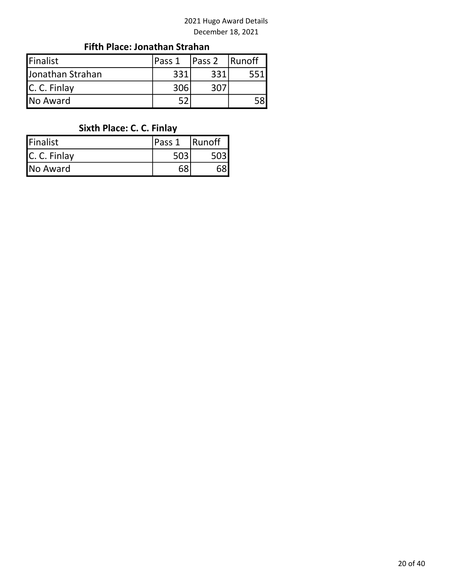## Fifth Place: Jonathan Strahan

| Finalist         | lPass 1 | Pass <sub>2</sub> | <b>Runoff</b> |
|------------------|---------|-------------------|---------------|
| Jonathan Strahan | 331     | 331               |               |
| C. C. Finlay     | 306     | 307               |               |
| No Award         |         |                   |               |

# Sixth Place: C. C. Finlay

| Finalist     | Pass 1 | Runoff |
|--------------|--------|--------|
| C. C. Finlay |        |        |
| No Award     | 68     |        |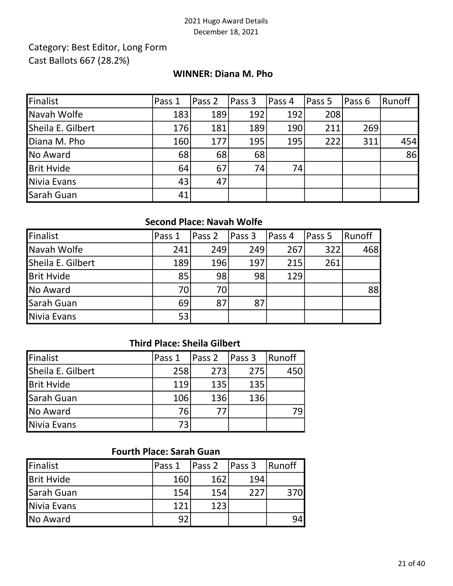## Category: Best Editor, Long Form Cast Ballots 667 (28.2%)

#### WINNER: Diana M. Pho

| Finalist          | Pass 1 | Pass 2 | Pass 3 | Pass 4 | <b>Pass 5</b> | lPass 6 | Runoff |
|-------------------|--------|--------|--------|--------|---------------|---------|--------|
| Navah Wolfe       | 183    | 189    | 192    | 192    | 208           |         |        |
| Sheila E. Gilbert | 176    | 181    | 189    | 190    | 211           | 269     |        |
| Diana M. Pho      | 160    | 177    | 195    | 195    | 222           | 311     | 454    |
| No Award          | 68     | 68     | 68     |        |               |         | 86     |
| <b>Brit Hvide</b> | 64     | 67     | 74     | 74     |               |         |        |
| Nivia Evans       | 43     | 47     |        |        |               |         |        |
| Sarah Guan        | 41     |        |        |        |               |         |        |

## Second Place: Navah Wolfe

| Finalist          | Pass 1 | lPass 2 | Pass 3 | Pass 4 | Pass 5 | Runoff |
|-------------------|--------|---------|--------|--------|--------|--------|
| Navah Wolfe       | 241    | 249     | 249    | 267    | 322    | 468    |
| Sheila E. Gilbert | 189    | 196     | 197    | 215    | 261    |        |
| <b>Brit Hvide</b> | 85     | 98      | 98     | 129    |        |        |
| No Award          | 70     | 70      |        |        |        | 88     |
| Sarah Guan        | 69     | 87      | 87     |        |        |        |
| Nivia Evans       | 53     |         |        |        |        |        |

## Third Place: Sheila Gilbert

| Finalist          | Pass 1 | Pass 2 | Pass 3 | Runoff |
|-------------------|--------|--------|--------|--------|
| Sheila E. Gilbert | 258    | 273    | 275    | 450    |
| <b>Brit Hvide</b> | 119    | 135    | 135    |        |
| Sarah Guan        | 106    | 136    | 136    |        |
| No Award          | 76     | 77     |        | 79     |
| Nivia Evans       | 73     |        |        |        |

# Fourth Place: Sarah Guan

| Finalist          | Pass 1 | Pass 2 | Pass 3 | 'Runoff |
|-------------------|--------|--------|--------|---------|
| <b>Brit Hvide</b> | 160    | 162    | 194    |         |
| Sarah Guan        | 154    | 154    | 227    | 370l    |
| Nivia Evans       | 121    | 123    |        |         |
| No Award          | 92     |        |        |         |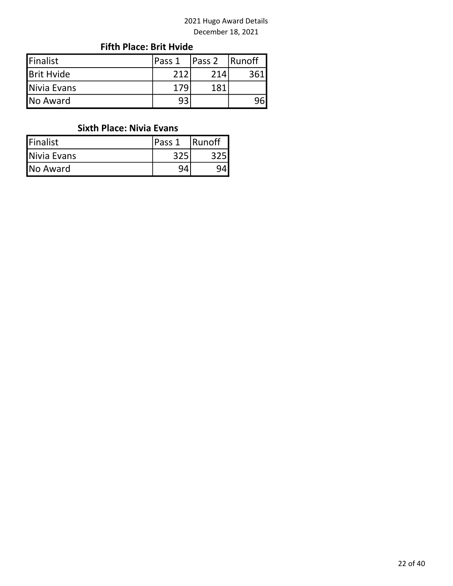### Fifth Place: Brit Hvide

| Finalist          | Pass 1 | Pass 2 | Runoff |
|-------------------|--------|--------|--------|
| <b>Brit Hvide</b> | ว 1 ว  | 214    |        |
| Nivia Evans       | 179    | 181    |        |
| No Award          | 93     |        |        |

### Sixth Place: Nivia Evans

| Finalist    | Pass 1 | Runoff |
|-------------|--------|--------|
| Nivia Evans |        |        |
| No Award    |        |        |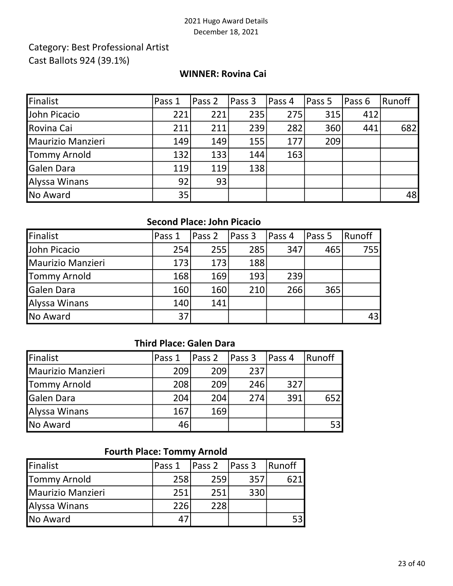## Category: Best Professional Artist Cast Ballots 924 (39.1%)

#### WINNER: Rovina Cai

| Finalist          | Pass 1          | Pass 2 | Pass 3 | Pass 4 | Pass 5 | Pass 6 | Runoff |
|-------------------|-----------------|--------|--------|--------|--------|--------|--------|
| John Picacio      | 221             | 221    | 235    | 275    | 315    | 412    |        |
| Rovina Cai        | 211             | 211    | 239    | 282    | 360    | 441    | 682    |
| Maurizio Manzieri | 149             | 149    | 155    | 177    | 209    |        |        |
| Tommy Arnold      | 132             | 133    | 144    | 163    |        |        |        |
| <b>Galen Dara</b> | 119             | 119    | 138    |        |        |        |        |
| Alyssa Winans     | 92              | 93     |        |        |        |        |        |
| No Award          | 35 <sub>l</sub> |        |        |        |        |        | 48     |

#### Second Place: John Picacio

| Finalist          | Pass 1 | Pass 2 | Pass 3 | Pass 4 | Pass 5 | Runoff     |
|-------------------|--------|--------|--------|--------|--------|------------|
| John Picacio      | 254    | 255    | 285    | 347    | 465    | <b>755</b> |
| Maurizio Manzieri | 173    | 173    | 188    |        |        |            |
| Tommy Arnold      | 168    | 169    | 193    | 239    |        |            |
| <b>Galen Dara</b> | 160    | 160    | 210    | 266    | 365    |            |
| Alyssa Winans     | 140    | 141    |        |        |        |            |
| No Award          | 37     |        |        |        |        | 43         |

## Third Place: Galen Dara

| Finalist            | lPass 1 | Pass <sub>2</sub> | <b>Pass 3</b> | Pass 4 | Runoff |
|---------------------|---------|-------------------|---------------|--------|--------|
| Maurizio Manzieri   | 209     | 209               | 237           |        |        |
| <b>Tommy Arnold</b> | 208     | 209               | 246           | 327    |        |
| <b>Galen Dara</b>   | 204     | 204               | 274           | 391    | 652I   |
| Alyssa Winans       | 167     | 169               |               |        |        |
| No Award            | 46      |                   |               |        | 53     |

### Fourth Place: Tommy Arnold

| Finalist            | Pass 1 | Pass 2 | Pass 3 | Runoff |
|---------------------|--------|--------|--------|--------|
| <b>Tommy Arnold</b> | 258    | 259    | 357    |        |
| Maurizio Manzieri   | 251    | 251    | 330    |        |
| Alyssa Winans       | 226    | 228    |        |        |
| <b>No Award</b>     | 47     |        |        | 53l    |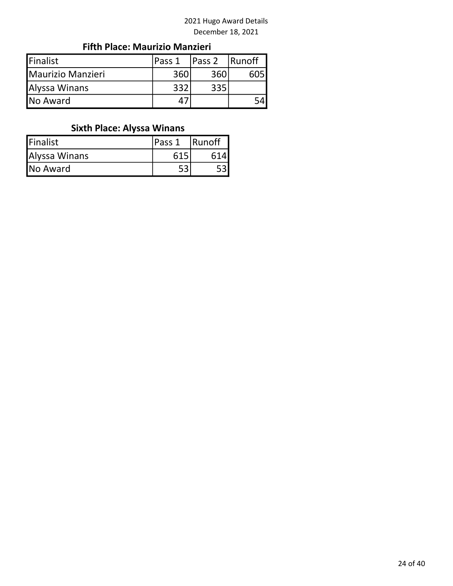### Fifth Place: Maurizio Manzieri

| Finalist          | lPass 1 | Pass 2 | <b>Runoff</b> |
|-------------------|---------|--------|---------------|
| Maurizio Manzieri | 360     | 360    |               |
| Alyssa Winans     | 332     | 335    |               |
| <b>INo Award</b>  |         |        |               |

# Sixth Place: Alyssa Winans

| <b>Finalist</b> | lPass 1 | <b>Runoff</b> |
|-----------------|---------|---------------|
| Alyssa Winans   | 615     | 614 <b>I</b>  |
| No Award        | − ∩     |               |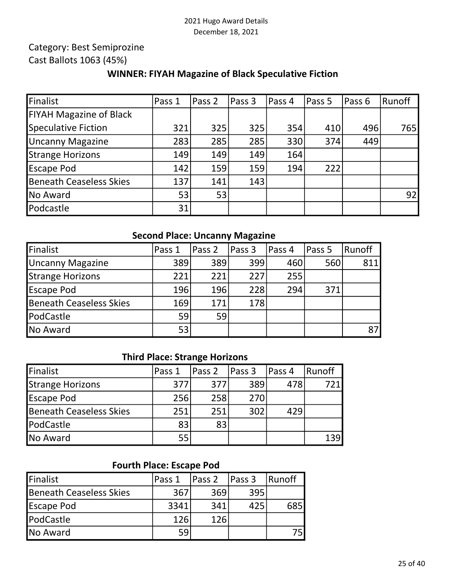# Category: Best Semiprozine

# Cast Ballots 1063 (45%)

#### WINNER: FIYAH Magazine of Black Speculative Fiction

| Finalist                       | Pass 1 | Pass 2 | Pass 3 | Pass 4 | Pass 5 | Pass 6 | Runoff       |
|--------------------------------|--------|--------|--------|--------|--------|--------|--------------|
| <b>FIYAH Magazine of Black</b> |        |        |        |        |        |        |              |
| Speculative Fiction            | 321    | 325    | 325    | 354    | 410    | 496    | 765 <b>1</b> |
| <b>Uncanny Magazine</b>        | 283    | 285    | 285    | 330    | 374    | 449    |              |
| Strange Horizons               | 149    | 149    | 149    | 164    |        |        |              |
| <b>Escape Pod</b>              | 142    | 159    | 159    | 194    | 222    |        |              |
| <b>Beneath Ceaseless Skies</b> | 137    | 141    | 143    |        |        |        |              |
| No Award                       | 53     | 53     |        |        |        |        | 92           |
| Podcastle                      | 31     |        |        |        |        |        |              |

#### Second Place: Uncanny Magazine

| Finalist                       | Pass 1 | Pass 2 | Pass 3 | Pass 4 | Pass 5 | Runoff |
|--------------------------------|--------|--------|--------|--------|--------|--------|
| Uncanny Magazine               | 389    | 389    | 399    | 460    | 560    | 811    |
| Strange Horizons               | 221    | 221    | 227    | 255    |        |        |
| <b>Escape Pod</b>              | 196    | 196    | 228    | 294    | 371    |        |
| <b>Beneath Ceaseless Skies</b> | 169    | 171    | 178    |        |        |        |
| PodCastle                      | 59     | 59     |        |        |        |        |
| No Award                       | 53     |        |        |        |        | 87     |

#### Third Place: Strange Horizons

| Finalist                       | lPass 1 | $\vert$ Pass 2 | Pass 3 | Pass 4 | Runoff |
|--------------------------------|---------|----------------|--------|--------|--------|
| <b>Strange Horizons</b>        | 377     | 377            | 389    | 478    |        |
| <b>Escape Pod</b>              | 256     | 258            | 270    |        |        |
| <b>Beneath Ceaseless Skies</b> | 251     | 251            | 302    | 429    |        |
| PodCastle                      | 83      | 83             |        |        |        |
| <b>No Award</b>                | 55      |                |        |        |        |

## Fourth Place: Escape Pod

| Finalist                | Pass 1 | <b>Pass 2</b> | <b>Pass 3</b> | Runoff |
|-------------------------|--------|---------------|---------------|--------|
| Beneath Ceaseless Skies | 367    | 369           | 395           |        |
| <b>Escape Pod</b>       | 3341   | 341           | 425           | 685    |
| <b>PodCastle</b>        | 126    | 126           |               |        |
| No Award                | 59     |               |               |        |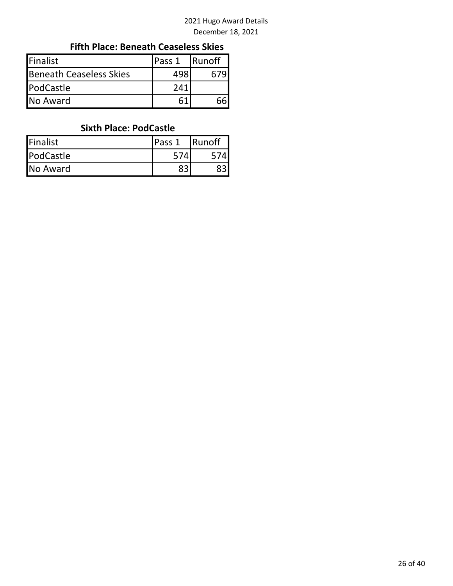#### Fifth Place: Beneath Ceaseless Skies

| <b>IFinalist</b>        | lPass 1 | <b>Runoff</b> |
|-------------------------|---------|---------------|
| Beneath Ceaseless Skies | 498     |               |
| PodCastle               | 241     |               |
| <b>No Award</b>         |         |               |

#### Sixth Place: PodCastle

| Finalist  | lPass 1 | <b>Runoff</b> |
|-----------|---------|---------------|
| PodCastle | 574     |               |
| No Award  |         |               |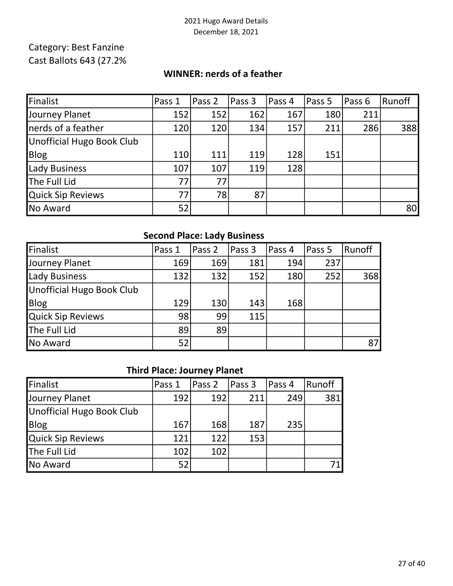## Category: Best Fanzine Cast Ballots 643 (27.2%

#### WINNER: nerds of a feather

| Finalist                         | Pass 1     | Pass 2 | Pass 3 | Pass 4 | Pass 5 | Pass 6 | Runoff          |
|----------------------------------|------------|--------|--------|--------|--------|--------|-----------------|
| Journey Planet                   | 152        | 152    | 162    | 167    | 180    | 211    |                 |
| nerds of a feather               | 120        | 120    | 134    | 157    | 211    | 286    | 388             |
| <b>Unofficial Hugo Book Club</b> |            |        |        |        |        |        |                 |
| Blog                             | <b>110</b> | 111    | 119    | 128    | 151    |        |                 |
| <b>Lady Business</b>             | 107        | 107    | 119    | 128    |        |        |                 |
| The Full Lid                     | 77         | 77     |        |        |        |        |                 |
| <b>Quick Sip Reviews</b>         | 77         | 78     | 87     |        |        |        |                 |
| No Award                         | 52         |        |        |        |        |        | 80 <sup>°</sup> |

### Second Place: Lady Business

| Finalist                  | Pass 1 | Pass 2 | Pass <sub>3</sub> | Pass 4 | Pass 5 | Runoff |
|---------------------------|--------|--------|-------------------|--------|--------|--------|
| Journey Planet            | 169    | 169    | 181               | 194    | 237    |        |
| Lady Business             | 132    | 132    | 152               | 180    | 252    | 368    |
| Unofficial Hugo Book Club |        |        |                   |        |        |        |
| <b>Blog</b>               | 129    | 130    | 143               | 168    |        |        |
| Quick Sip Reviews         | 98     | 99     | 115               |        |        |        |
| The Full Lid              | 89     | 89     |                   |        |        |        |
| No Award                  | 52     |        |                   |        |        | 87     |

### Third Place: Journey Planet

| Finalist                  | Pass 1 | Pass 2 | Pass 3 | Pass 4 | Runoff |
|---------------------------|--------|--------|--------|--------|--------|
| Journey Planet            | 192    | 192    | 211    | 249    | 381    |
| Unofficial Hugo Book Club |        |        |        |        |        |
| Blog                      | 167    | 168    | 187    | 235    |        |
| Quick Sip Reviews         | 121    | 122    | 153    |        |        |
| The Full Lid              | 102    | 102    |        |        |        |
| No Award                  | 52     |        |        |        |        |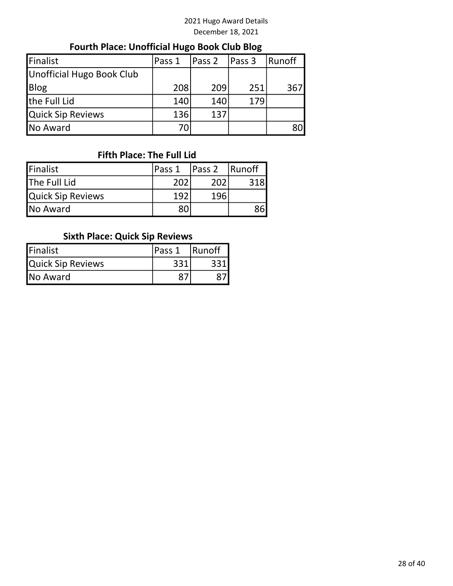# Fourth Place: Unofficial Hugo Book Club Blog

| Finalist                  | Pass 1 | Pass 2 | Pass 3 | Runoff |
|---------------------------|--------|--------|--------|--------|
| Unofficial Hugo Book Club |        |        |        |        |
| <b>Blog</b>               | 208    | 209    | 251    | 367    |
| the Full Lid              | 140    | 140    | 179    |        |
| <b>Quick Sip Reviews</b>  | 136    | 137    |        |        |
| No Award                  | 70     |        |        | 80     |

## Fifth Place: The Full Lid

| Finalist                 | lPass 1 | Pass <sub>2</sub> | <b>Runoff</b> |
|--------------------------|---------|-------------------|---------------|
| The Full Lid             | 202     | 202               | 318           |
| <b>Quick Sip Reviews</b> | 197     | 196               |               |
| No Award                 | 80      |                   | 86            |

### Sixth Place: Quick Sip Reviews

| Finalist                 | lPass 1 | <b>Runoff</b> |
|--------------------------|---------|---------------|
| <b>Quick Sip Reviews</b> | 331     |               |
| No Award                 |         |               |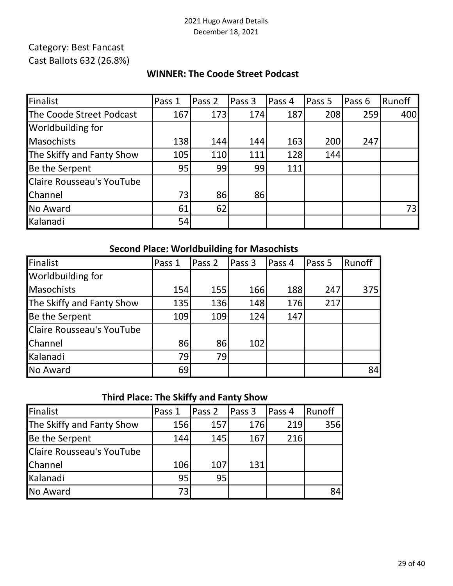# Category: Best Fancast Cast Ballots 632 (26.8%)

#### WINNER: The Coode Street Podcast

| Finalist                         | Pass 1 | Pass 2 | Pass 3 | Pass 4 | Pass 5 | Pass 6 | Runoff |
|----------------------------------|--------|--------|--------|--------|--------|--------|--------|
| The Coode Street Podcast         | 167    | 173    | 174    | 187    | 208    | 259    | 400    |
| <b>Worldbuilding for</b>         |        |        |        |        |        |        |        |
| <b>Masochists</b>                | 138    | 144    | 144    | 163    | 200    | 247    |        |
| The Skiffy and Fanty Show        | 105    | 110    | 111    | 128    | 144    |        |        |
| Be the Serpent                   | 95     | 99     | 99     | 111    |        |        |        |
| <b>Claire Rousseau's YouTube</b> |        |        |        |        |        |        |        |
| Channel                          | 73     | 86     | 86     |        |        |        |        |
| No Award                         | 61     | 62     |        |        |        |        | 73     |
| Kalanadi                         | 54     |        |        |        |        |        |        |

### Second Place: Worldbuilding for Masochists

| Finalist                  | Pass 1 | Pass 2 | Pass 3 | Pass 4 | Pass 5 | Runoff |
|---------------------------|--------|--------|--------|--------|--------|--------|
| Worldbuilding for         |        |        |        |        |        |        |
| Masochists                | 154    | 155    | 166    | 188    | 247    | 375    |
| The Skiffy and Fanty Show | 135    | 136    | 148    | 176    | 217    |        |
| Be the Serpent            | 109    | 109    | 124    | 147    |        |        |
| Claire Rousseau's YouTube |        |        |        |        |        |        |
| Channel                   | 86     | 86     | 102    |        |        |        |
| Kalanadi                  | 79     | 79     |        |        |        |        |
| No Award                  | 69     |        |        |        |        | 84     |

# Third Place: The Skiffy and Fanty Show

| Finalist                  | Pass 1 | Pass 2 | Pass 3 | Pass 4 | Runoff |
|---------------------------|--------|--------|--------|--------|--------|
| The Skiffy and Fanty Show | 156    | 157    | 176    | 219    | 356    |
| Be the Serpent            | 144    | 145    | 167    | 216    |        |
| Claire Rousseau's YouTube |        |        |        |        |        |
| <b>Channel</b>            | 106    | 107    | 131    |        |        |
| Kalanadi                  | 95     | 95     |        |        |        |
| No Award                  | 73     |        |        |        | 84     |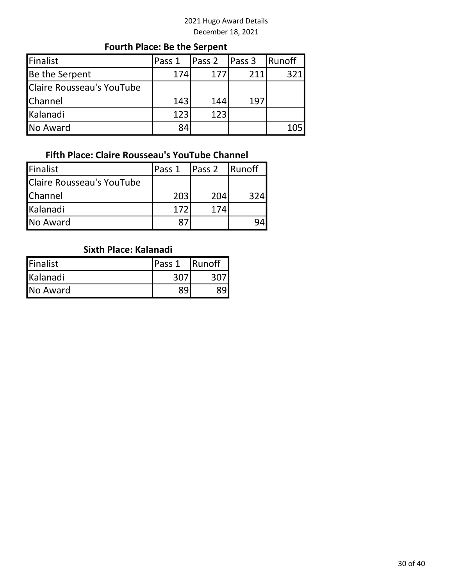# Fourth Place: Be the Serpent

| Finalist                  | Pass 1 | Pass 2 | <b>Pass 3</b> | Runoff |
|---------------------------|--------|--------|---------------|--------|
| Be the Serpent            | 174    | 177    | 211           | 321    |
| Claire Rousseau's YouTube |        |        |               |        |
| <b>Channel</b>            | 143    | 144    | 197           |        |
| Kalanadi                  | 123    | 123    |               |        |
| No Award                  | 84     |        |               |        |

## Fifth Place: Claire Rousseau's YouTube Channel

| Finalist                  | Pass 1 | Pass 2 | <b>Runoff</b> |
|---------------------------|--------|--------|---------------|
| Claire Rousseau's YouTube |        |        |               |
| <b>Channel</b>            | 203    | 204    | 324           |
| Kalanadi                  | 172    | 174    |               |
| No Award                  |        |        |               |

### Sixth Place: Kalanadi

| Finalist | lPass 1 | <b>Runoff</b> |
|----------|---------|---------------|
| Kalanadi |         |               |
| No Award |         |               |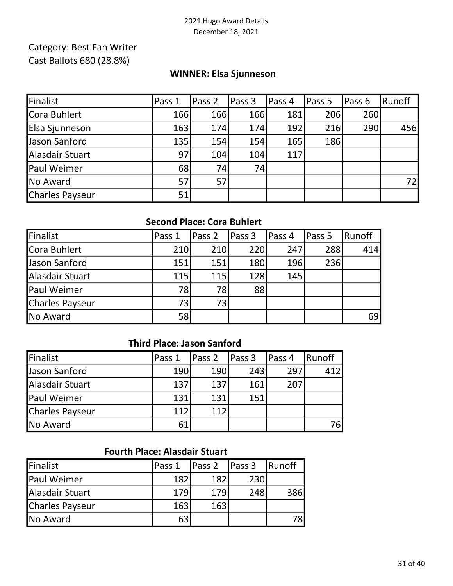## Category: Best Fan Writer Cast Ballots 680 (28.8%)

#### WINNER: Elsa Sjunneson

| Finalist        | Pass 1 | Pass 2 | Pass 3 | Pass 4 | Pass 5 | Pass 6 | Runoff |
|-----------------|--------|--------|--------|--------|--------|--------|--------|
| Cora Buhlert    | 166    | 166    | 166    | 181    | 206    | 260    |        |
| Elsa Sjunneson  | 163    | 174    | 174    | 192    | 216    | 290    | 456    |
| Jason Sanford   | 135    | 154    | 154    | 165    | 186    |        |        |
| Alasdair Stuart | 97     | 104    | 104    | 117    |        |        |        |
| Paul Weimer     | 68     | 74     | 74     |        |        |        |        |
| No Award        | 57     | 57     |        |        |        |        | 72I    |
| Charles Payseur | 51     |        |        |        |        |        |        |

#### Second Place: Cora Buhlert

| Finalist        | Pass 1 | Pass <sub>2</sub> | Pass 3 | Pass 4 | Pass 5 | Runoff |
|-----------------|--------|-------------------|--------|--------|--------|--------|
| Cora Buhlert    | 210    | 210               | 220    | 247    | 288    | 414    |
| Jason Sanford   | 151    | 151               | 180    | 196    | 236    |        |
| Alasdair Stuart | 115    | 115               | 128    | 145    |        |        |
| Paul Weimer     | 78     | 78                | 88     |        |        |        |
| Charles Payseur | 73     | 73                |        |        |        |        |
| No Award        | 58     |                   |        |        |        | 69     |

## Third Place: Jason Sanford

| Finalist               | lPass 1 | $\vert$ Pass 2 | Pass <sub>3</sub> | Pass 4 | Runoff |
|------------------------|---------|----------------|-------------------|--------|--------|
| Jason Sanford          | 190     | 190            | 243               | 297    | 412    |
| Alasdair Stuart        | 137     | 137            | 161               | 207    |        |
| <b>Paul Weimer</b>     | 131     | 131            | 151               |        |        |
| <b>Charles Payseur</b> | 112     | 112            |                   |        |        |
| <b>No Award</b>        | 61      |                |                   |        | 76l    |

## Fourth Place: Alasdair Stuart

| Finalist           | lPass 1 | Pass 2 | Pass 3 | <b>Runoff</b> |
|--------------------|---------|--------|--------|---------------|
| <b>Paul Weimer</b> | 182     | 182    | 230    |               |
| Alasdair Stuart    | 179     | 179    | 248    | 386           |
| Charles Payseur    | 163     | 163    |        |               |
| No Award           | 63      |        |        | 78l           |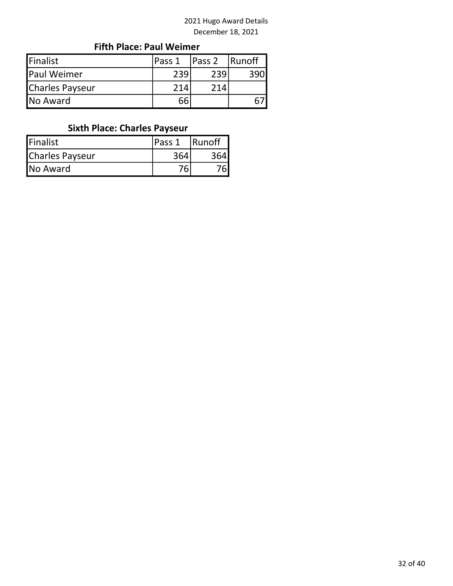## Fifth Place: Paul Weimer

| Finalist           | <b>IPass 1</b> | Pass 2 | <b>Runoff</b> |
|--------------------|----------------|--------|---------------|
| <b>Paul Weimer</b> | 239            | 239    |               |
| Charles Payseur    | 214            | 714    |               |
| No Award           | 66             |        |               |

# Sixth Place: Charles Payseur

| <b>Finalist</b> | lPass 1 | <b>Runoff</b> |
|-----------------|---------|---------------|
| Charles Payseur | 364     |               |
| No Award        |         |               |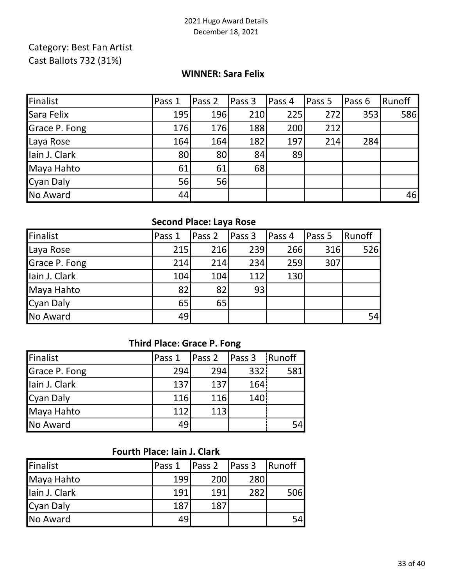## Category: Best Fan Artist Cast Ballots 732 (31%)

#### WINNER: Sara Felix

| Finalist      | Pass 1 | Pass 2     | Pass <sub>3</sub> | Pass 4 | Pass 5 | Pass 6 | Runoff |
|---------------|--------|------------|-------------------|--------|--------|--------|--------|
| Sara Felix    | 195    | <b>196</b> | 210               | 225    | 272    | 353    | 586    |
| Grace P. Fong | 176    | 176        | 188               | 200    | 212    |        |        |
| Laya Rose     | 164    | 164        | 182               | 197    | 214    | 284    |        |
| Iain J. Clark | 80     | 80         | 84                | 89     |        |        |        |
| Maya Hahto    | 61     | 61         | 68                |        |        |        |        |
| Cyan Daly     | 56     | 56         |                   |        |        |        |        |
| No Award      | 44     |            |                   |        |        |        | 46     |

# Second Place: Laya Rose

| Finalist      | Pass 1 | Pass 2 | <b>Pass 3</b> | Pass 4 | Pass 5 | Runoff |
|---------------|--------|--------|---------------|--------|--------|--------|
| Laya Rose     | 215    | 216    | 239           | 266    | 316    | 526    |
| Grace P. Fong | 214    | 214    | 234           | 259    | 307    |        |
| lain J. Clark | 104    | 104    | 112           | 130    |        |        |
| Maya Hahto    | 82     | 82     | 93            |        |        |        |
| Cyan Daly     | 65     | 65     |               |        |        |        |
| No Award      | 49     |        |               |        |        | 54     |

### Third Place: Grace P. Fong

| Finalist       | Pass 1 | Pass 2 | Pass 3           | Runoff     |
|----------------|--------|--------|------------------|------------|
| Grace P. Fong  | 294    | 294    | 332 <sub>1</sub> | <b>581</b> |
| Ilain J. Clark | 137    | 137    | 164!             |            |
| Cyan Daly      | 116    | 116    | 140 <sub>1</sub> |            |
| Maya Hahto     | 112    | 113    |                  |            |
| No Award       | 49     |        |                  | 54         |

## Fourth Place: Iain J. Clark

| Finalist      | Pass 1 | Pass 2 | Pass 3 | Runoff |
|---------------|--------|--------|--------|--------|
| Maya Hahto    | 199    | 200    | 280    |        |
| lain J. Clark | 191    | 191    | 282    | 506    |
| Cyan Daly     | 187    | 187    |        |        |
| No Award      | 49     |        |        | 54     |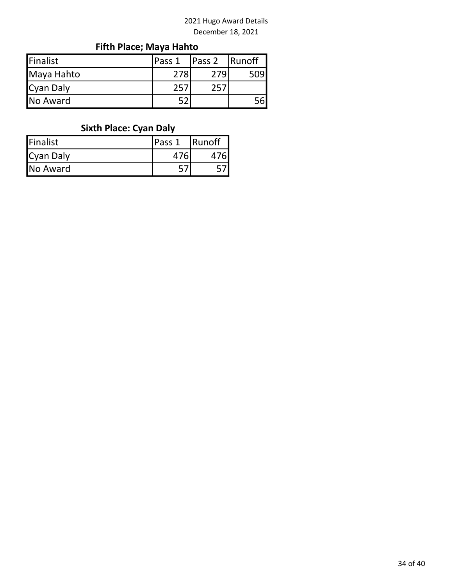# Fifth Place; Maya Hahto

| Finalist        | lPass 1 | Pass <sub>2</sub> | <b>Runoff</b> |
|-----------------|---------|-------------------|---------------|
| Maya Hahto      | 278     |                   | 509           |
| Cyan Daly       | 25      |                   |               |
| <b>No Award</b> |         |                   |               |

# Sixth Place: Cyan Daly

| <b>Finalist</b> | lPass 1 | <b>Runoff</b> |
|-----------------|---------|---------------|
| Cyan Daly       |         |               |
| No Award        |         |               |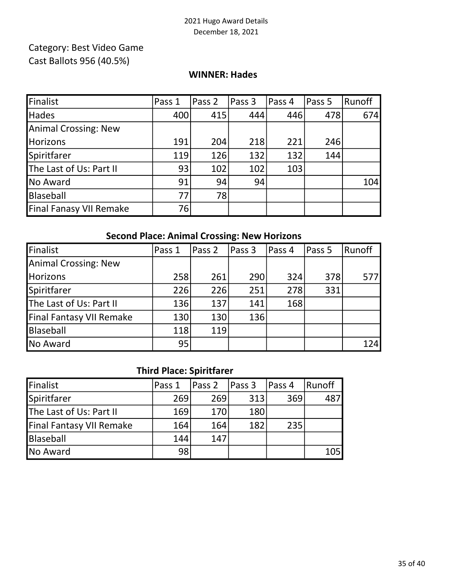## Cast Ballots 956 (40.5%) Category: Best Video Game

#### WINNER: Hades

| Finalist                       | Pass 1 | Pass 2 | Pass 3 | Pass 4 | Pass 5 | Runoff |
|--------------------------------|--------|--------|--------|--------|--------|--------|
| <b>Hades</b>                   | 400    | 415    | 444    | 446    | 478    | 674    |
| Animal Crossing: New           |        |        |        |        |        |        |
| <b>Horizons</b>                | 191    | 204    | 218    | 221    | 246    |        |
| Spiritfarer                    | 119    | 126    | 132    | 132    | 144    |        |
| The Last of Us: Part II        | 93     | 102    | 102    | 103    |        |        |
| No Award                       | 91     | 94     | 94     |        |        | 104    |
| Blaseball                      | 77     | 78     |        |        |        |        |
| <b>Final Fanasy VII Remake</b> | 76     |        |        |        |        |        |

### Second Place: Animal Crossing: New Horizons

| Finalist                 | Pass 1 | Pass 2 | Pass 3 | Pass 4 | Pass 5 | Runoff |
|--------------------------|--------|--------|--------|--------|--------|--------|
| Animal Crossing: New     |        |        |        |        |        |        |
| Horizons                 | 258    | 261    | 290    | 324    | 378    | 577    |
| Spiritfarer              | 226    | 226    | 251    | 278    | 331    |        |
| The Last of Us: Part II  | 136    | 137    | 141    | 168    |        |        |
| Final Fantasy VII Remake | 130    | 130    | 136    |        |        |        |
| Blaseball                | 118    | 119    |        |        |        |        |
| No Award                 | 95     |        |        |        |        | 124    |

## Third Place: Spiritfarer

| Finalist                        | Pass 1 | Pass 2 | Pass <sub>3</sub> | Pass 4 | Runoff |
|---------------------------------|--------|--------|-------------------|--------|--------|
| Spiritfarer                     | 269    | 269    | 313               | 369    | 487    |
| The Last of Us: Part II         | 169    | 170    | 180               |        |        |
| <b>Final Fantasy VII Remake</b> | 164    | 164    | 182               | 235    |        |
| Blaseball                       | 144    | 147    |                   |        |        |
| No Award                        | 98     |        |                   |        | 105    |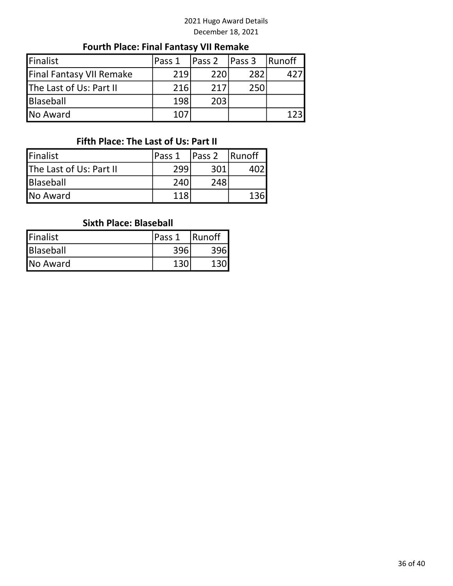# Fourth Place: Final Fantasy VII Remake

| Finalist                 | Pass 1 | Pass 2 | Pass <sub>3</sub> | <b>Runoff</b> |
|--------------------------|--------|--------|-------------------|---------------|
| Final Fantasy VII Remake | 219    | 220    | 282               |               |
| The Last of Us: Part II  | 216    | 217    | 250               |               |
| <b>Blaseball</b>         | 198    | 203    |                   |               |
| No Award                 | 107    |        |                   |               |

## Fifth Place: The Last of Us: Part II

| Finalist                | Pass 1 | Pass 2 | <b>Runoff</b> |
|-------------------------|--------|--------|---------------|
| The Last of Us: Part II | 299    | 301    |               |
| Blaseball               | 240    | 248    |               |
| <b>No Award</b>         | 118    |        |               |

#### Sixth Place: Blaseball

| Finalist        | Pass 1 | Runoff |  |
|-----------------|--------|--------|--|
| Blaseball       |        |        |  |
| <b>No Award</b> |        |        |  |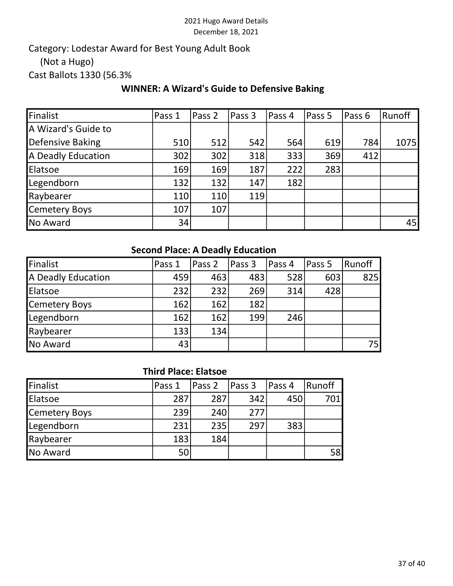Cast Ballots 1330 (56.3% Category: Lodestar Award for Best Young Adult Book (Not a Hugo)

## WINNER: A Wizard's Guide to Defensive Baking

| Finalist            | Pass 1 | Pass 2 | Pass 3     | Pass 4 | Pass 5 | Pass 6 | Runoff |
|---------------------|--------|--------|------------|--------|--------|--------|--------|
| A Wizard's Guide to |        |        |            |        |        |        |        |
| Defensive Baking    | 510    | 512    | 542        | 564    | 619    | 784    | 1075   |
| A Deadly Education  | 302    | 302    | 318        | 333    | 369    | 412    |        |
| Elatsoe             | 169    | 169    | 187        | 222    | 283    |        |        |
| Legendborn          | 132    | 132    | 147        | 182    |        |        |        |
| Raybearer           | 110    | 110    | <b>119</b> |        |        |        |        |
| Cemetery Boys       | 107    | 107    |            |        |        |        |        |
| No Award            | 34     |        |            |        |        |        | 45     |

### Second Place: A Deadly Education

| Finalist           | Pass 1 | Pass 2 | Pass 3 | lPass 4 | Pass 5 | Runoff |
|--------------------|--------|--------|--------|---------|--------|--------|
| A Deadly Education | 459    | 463    | 483    | 528     | 603    | 825    |
| Elatsoe            | 232    | 232    | 269    | 314     | 428    |        |
| Cemetery Boys      | 162    | 162    | 182    |         |        |        |
| Legendborn         | 162    | 162    | 199    | 246     |        |        |
| Raybearer          | 133    | 134    |        |         |        |        |
| No Award           | 43     |        |        |         |        | 75I    |

#### Third Place: Elatsoe

| <b>Finalist</b> | Pass 1 | Pass 2 | Pass 3 | Pass 4 | l Runoff |
|-----------------|--------|--------|--------|--------|----------|
| Elatsoe         | 287    | 287    | 342    | 450    | 701      |
| Cemetery Boys   | 239    | 240    | 277    |        |          |
| Legendborn      | 231    | 235    | 297    | 383    |          |
| Raybearer       | 183    | 184    |        |        |          |
| No Award        | 50     |        |        |        | 58       |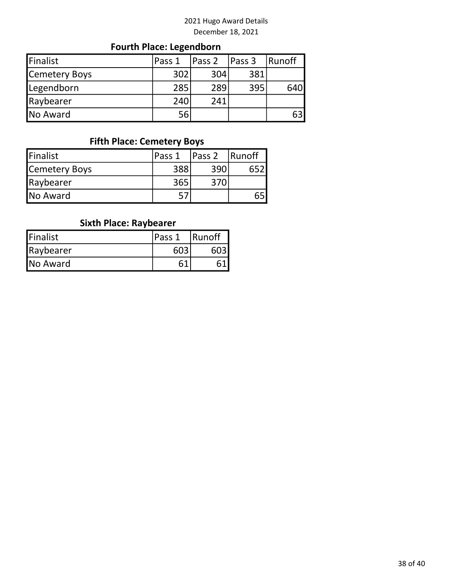# Fourth Place: Legendborn

| <b>Finalist</b> | Pass 1 | <b>Pass 2</b> | Pass 3 | 'Runoff |
|-----------------|--------|---------------|--------|---------|
| Cemetery Boys   | 302    | 304           | 381    |         |
| Legendborn      | 285    | 289           | 395    | 640l    |
| Raybearer       | 240    | 241           |        |         |
| <b>No Award</b> | 56     |               |        | 63      |

### Fifth Place: Cemetery Boys

| Finalist      | Pass 1 | Pass 2 | <b>Runoff</b> |
|---------------|--------|--------|---------------|
| Cemetery Boys | 388    | 390    |               |
| Raybearer     | 365    | 370    |               |
| No Award      |        |        |               |

# Sixth Place: Raybearer

| <b>Finalist</b> | Pass 1 | Runoff |  |
|-----------------|--------|--------|--|
| Raybearer       | 603    |        |  |
| <b>No Award</b> |        |        |  |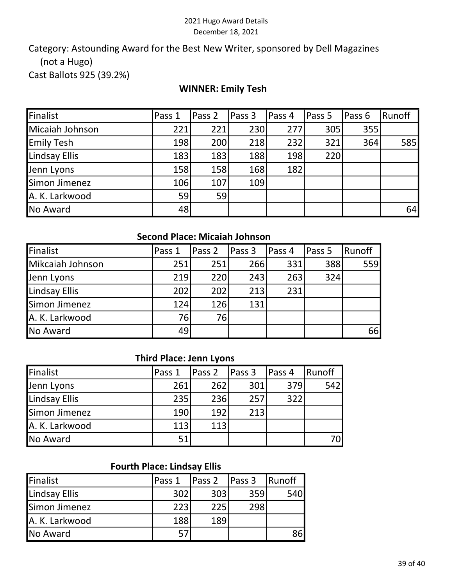Cast Ballots 925 (39.2%) Category: Astounding Award for the Best New Writer, sponsored by Dell Magazines (not a Hugo)

#### WINNER: Emily Tesh

| Finalist          | Pass 1 | Pass 2 | Pass 3 | Pass 4 | Pass 5 | Pass 6 | Runoff |
|-------------------|--------|--------|--------|--------|--------|--------|--------|
| Micaiah Johnson   | 221    | 221    | 230    | 277    | 305    | 355    |        |
| <b>Emily Tesh</b> | 198    | 200    | 218    | 232    | 321    | 364    | 585    |
| Lindsay Ellis     | 183    | 183    | 188    | 198    | 220    |        |        |
| Jenn Lyons        | 158    | 158    | 168    | 182    |        |        |        |
| Simon Jimenez     | 106    | 107    | 109    |        |        |        |        |
| A. K. Larkwood    | 59     | 59     |        |        |        |        |        |
| No Award          | 48     |        |        |        |        |        | 64     |

#### Second Place: Micaiah Johnson

| Finalist         | Pass 1 | Pass 2 | Pass 3 | Pass 4 | Pass 5 | Runoff |
|------------------|--------|--------|--------|--------|--------|--------|
| Mikcaiah Johnson | 251    | 251    | 266    | 331    | 388    | 559    |
| Jenn Lyons       | 219    | 220    | 243    | 263    | 324    |        |
| Lindsay Ellis    | 202    | 202    | 213    | 231    |        |        |
| Simon Jimenez    | 124    | 126    | 131    |        |        |        |
| A. K. Larkwood   | 76     | 76     |        |        |        |        |
| <b>No Award</b>  | 49     |        |        |        |        | 66     |

#### Third Place: Jenn Lyons

| Finalist       | Pass 1 | $\vert$ Pass 2 | Pass <sub>3</sub> | Pass 4 | Runoff |
|----------------|--------|----------------|-------------------|--------|--------|
| Jenn Lyons     | 261    | 262            | 301               | 379    | 542    |
| Lindsay Ellis  | 235    | 236            | 257               | 322    |        |
| Simon Jimenez  | 190    | 192            | 213               |        |        |
| A. K. Larkwood | 113    | 113            |                   |        |        |
| No Award       | 51     |                |                   |        | 70I    |

### Fourth Place: Lindsay Ellis

| Finalist       | Pass 1 | Pass <sub>2</sub> | Pass 3 | <b>Runoff</b> |
|----------------|--------|-------------------|--------|---------------|
| Lindsay Ellis  | 302    | 303               | 359    | 540 <b>I</b>  |
| Simon Jimenez  | 223    | 225               | 298    |               |
| A. K. Larkwood | 188    | 189               |        |               |
| No Award       | 57     |                   |        | 86            |